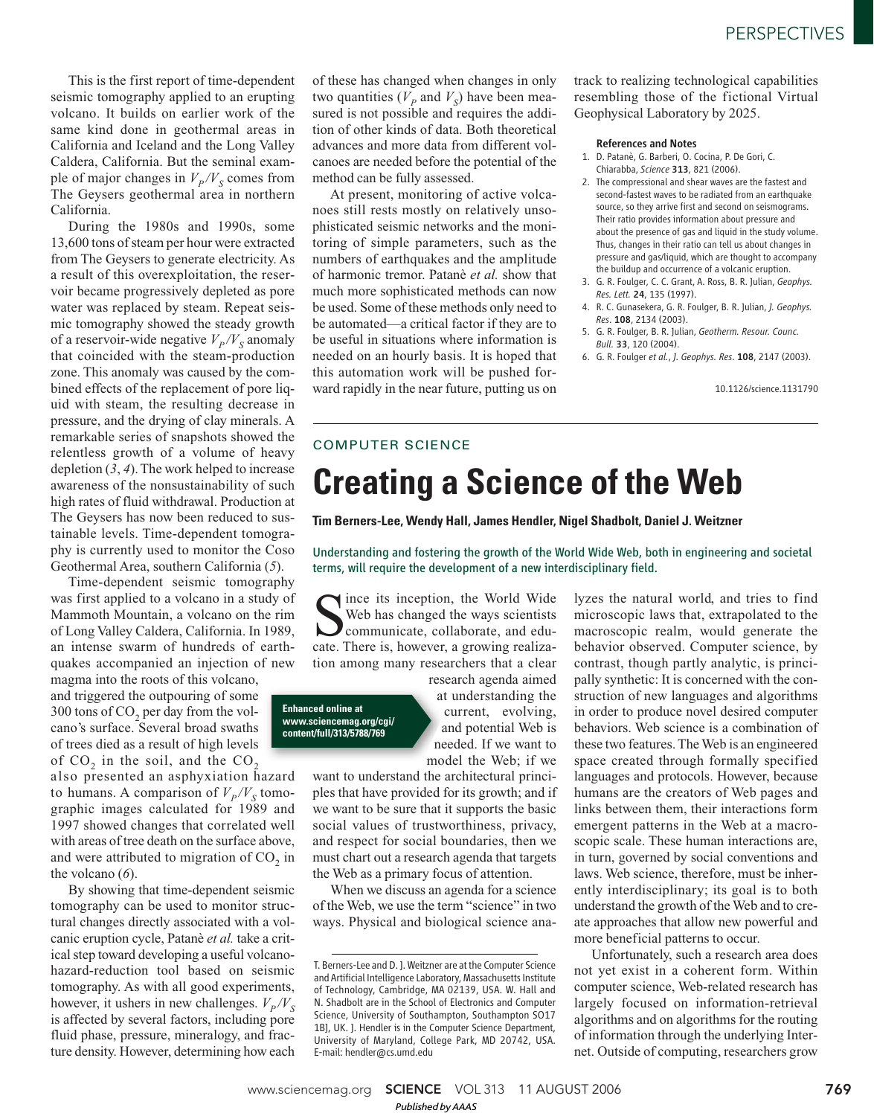This is the first report of time-dependent seismic tomography applied to an erupting volcano. It builds on earlier work of the same kind done in geothermal areas in California and Iceland and the Long Valley Caldera, California. But the seminal example of major changes in  $V_p/V_s$  comes from The Geysers geothermal area in northern California.

During the 1980s and 1990s, some 13,600 tons of steam per hour were extracted from The Geysers to generate electricity. As a result of this overexploitation, the reservoir became progressively depleted as pore water was replaced by steam. Repeat seismic tomography showed the steady growth of a reservoir-wide negative  $V_p/V_s$  anomaly that coincided with the steam-production zone. This anomaly was caused by the combined effects of the replacement of pore liquid with steam, the resulting decrease in pressure, and the drying of clay minerals. A remarkable series of snapshots showed the relentless growth of a volume of heavy depletion (*3*, *4*). The work helped to increase awareness of the nonsustainability of such high rates of fluid withdrawal. Production at The Geysers has now been reduced to sustainable levels. Time-dependent tomography is currently used to monitor the Coso Geothermal Area, southern California (*5*).

Time-dependent seismic tomography was first applied to a volcano in a study of Mammoth Mountain, a volcano on the rim of Long Valley Caldera, California. In 1989, an intense swarm of hundreds of earthquakes accompanied an injection of new

magma into the roots of this volcano, and triggered the outpouring of some 300 tons of  $CO_2$  per day from the volcano's surface. Several broad swaths of trees died as a result of high levels of  $CO_2$  in the soil, and the  $CO_2$ 

also presented an asphyxiation hazard to humans. A comparison of  $V_P/V_S$  tomographic images calculated for 1989 and 1997 showed changes that correlated well with areas of tree death on the surface above, and were attributed to migration of  $CO_2$  in the volcano (*6*).

By showing that time-dependent seismic tomography can be used to monitor structural changes directly associated with a volcanic eruption cycle, Patanè *et al.* take a critical step toward developing a useful volcanohazard-reduction tool based on seismic tomography. As with all good experiments, however, it ushers in new challenges.  $V_p/V_s$ is affected by several factors, including pore fluid phase, pressure, mineralogy, and fracture density. However, determining how each of these has changed when changes in only two quantities ( $V_p$  and  $V_s$ ) have been measured is not possible and requires the addition of other kinds of data. Both theoretical advances and more data from different volcanoes are needed before the potential of the method can be fully assessed.

At present, monitoring of active volcanoes still rests mostly on relatively unsophisticated seismic networks and the monitoring of simple parameters, such as the numbers of earthquakes and the amplitude of harmonic tremor. Patanè *et al.* show that much more sophisticated methods can now be used. Some of these methods only need to be automated—a critical factor if they are to be useful in situations where information is needed on an hourly basis. It is hoped that this automation work will be pushed forward rapidly in the near future, putting us on track to realizing technological capabilities resembling those of the fictional Virtual Geophysical Laboratory by 2025.

#### References and Notes

- 1. D. Patanè, G. Barberi, O. Cocina, P. De Gori, C. Chiarabba, *Science* 313, 821 (2006).
- 2. The compressional and shear waves are the fastest and second-fastest waves to be radiated from an earthquake source, so they arrive first and second on seismograms. Their ratio provides information about pressure and about the presence of gas and liquid in the study volume. Thus, changes in their ratio can tell us about changes in pressure and gas/liquid, which are thought to accompany the buildup and occurrence of a volcanic eruption.
- 3. G. R. Foulger, C. C. Grant, A. Ross, B. R. Julian, *Geophys. Res. Lett.* 24, 135 (1997).
- 4. R. C. Gunasekera, G. R. Foulger, B. R. Julian, *J. Geophys. Res*. 108, 2134 (2003).
- 5. G. R. Foulger, B. R. Julian, *Geotherm. Resour. Counc. Bull.* 33, 120 (2004).
- 6. G. R. Foulger *et al.*, *J. Geophys. Res*. 108, 2147 (2003).

10.1126/science.1131790

## COMPUTER SCIENCE

## **Creating a Science of the Web**

**Tim Berners-Lee, Wendy Hall, James Hendler, Nigel Shadbolt, Daniel J. Weitzner**

Understanding and fostering the growth of the World Wide Web, both in engineering and societal terms, will require the development of a new interdisciplinary field.

Since its inception, the World Wide<br>Web has changed the ways scientists<br>communicate, collaborate, and edu-<br>cate. There is, however, a growing realizaince its inception, the World Wide Web has changed the ways scientists communicate, collaborate, and edution among many researchers that a clear

## **Enhanced online at www.sciencemag.org/cgi/ content/full/313/5788/769**

research agenda aimed at understanding the current, evolving, and potential Web is needed. If we want to model the Web; if we

want to understand the architectural principles that have provided for its growth; and if we want to be sure that it supports the basic social values of trustworthiness, privacy, and respect for social boundaries, then we must chart out a research agenda that targets the Web as a primary focus of attention.

When we discuss an agenda for a science of the Web, we use the term "science" in two ways. Physical and biological science analyzes the natural world, and tries to find microscopic laws that, extrapolated to the macroscopic realm, would generate the behavior observed. Computer science, by contrast, though partly analytic, is principally synthetic: It is concerned with the construction of new languages and algorithms in order to produce novel desired computer behaviors. Web science is a combination of these two features. The Web is an engineered space created through formally specified languages and protocols. However, because humans are the creators of Web pages and links between them, their interactions form emergent patterns in the Web at a macroscopic scale. These human interactions are, in turn, governed by social conventions and laws. Web science, therefore, must be inherently interdisciplinary; its goal is to both understand the growth of the Web and to create approaches that allow new powerful and more beneficial patterns to occur.

Unfortunately, such a research area does not yet exist in a coherent form. Within computer science, Web-related research has largely focused on information-retrieval algorithms and on algorithms for the routing of information through the underlying Internet. Outside of computing, researchers grow

www.sciencemag.org **SCIENCE** VOL 313 11 AUGUST 2006 *Published byAAAS*

T. Berners-Lee and D. J. Weitzner are at the Computer Science and Artificial Intelligence Laboratory, Massachusetts Institute of Technology, Cambridge, MA 02139, USA. W. Hall and N. Shadbolt are in the School of Electronics and Computer Science, University of Southampton, Southampton SO17 1BJ, UK. J. Hendler is in the Computer Science Department, University of Maryland, College Park, MD 20742, USA. E-mail: hendler@cs.umd.edu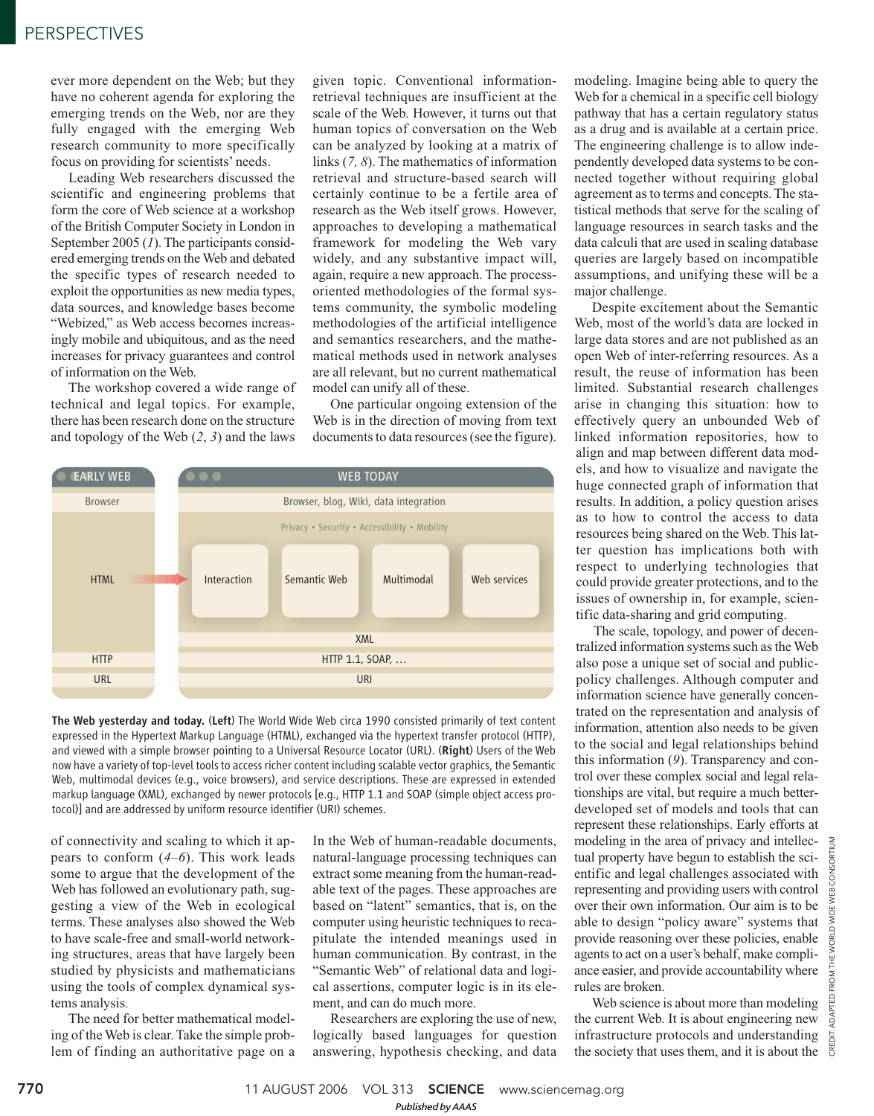## PERSPECTIVES

ever more dependent on the Web; but they have no coherent agenda for exploring the emerging trends on the Web, nor are they fully engaged with the emerging Web research community to more specifically focus on providing for scientists' needs.

Leading Web researchers discussed the scientific and engineering problems that form the core of Web science at a workshop of the British Computer Society in London in September 2005 (*1*). The participants considered emerging trends on the Web and debated the specific types of research needed to exploit the opportunities as new media types, data sources, and knowledge bases become "Webized," as Web access becomes increasingly mobile and ubiquitous, and as the need increases for privacy guarantees and control of information on the Web.

The workshop covered a wide range of technical and legal topics. For example, there has been research done on the structure and topology of the Web (*2*, *3*) and the laws

given topic. Conventional informationretrieval techniques are insufficient at the scale of the Web. However, it turns out that human topics of conversation on the Web can be analyzed by looking at a matrix of links (*7, 8*). The mathematics of information retrieval and structure-based search will certainly continue to be a fertile area of research as the Web itself grows. However, approaches to developing a mathematical framework for modeling the Web vary widely, and any substantive impact will, again, require a new approach. The processoriented methodologies of the formal systems community, the symbolic modeling methodologies of the artificial intelligence and semantics researchers, and the mathematical methods used in network analyses are all relevant, but no current mathematical model can unify all of these.

One particular ongoing extension of the Web is in the direction of moving from text documents to data resources (see the figure).



The Web yesterday and today. (Left) The World Wide Web circa 1990 consisted primarily of text content expressed in the Hypertext Markup Language (HTML), exchanged via the hypertext transfer protocol (HTTP), and viewed with a simple browser pointing to a Universal Resource Locator (URL). (Right) Users of the Web now have a variety of top-level tools to access richer content including scalable vector graphics, the Semantic Web, multimodal devices (e.g., voice browsers), and service descriptions. These are expressed in extended markup language (XML), exchanged by newer protocols [e.g., HTTP 1.1 and SOAP (simple object access protocol)] and are addressed by uniform resource identifier (URI) schemes.

of connectivity and scaling to which it appears to conform (*4*–*6*). This work leads some to argue that the development of the Web has followed an evolutionary path, suggesting a view of the Web in ecological terms. These analyses also showed the Web to have scale-free and small-world networking structures, areas that have largely been studied by physicists and mathematicians using the tools of complex dynamical systems analysis.

The need for better mathematical modeling of the Web is clear. Take the simple problem of finding an authoritative page on a In the Web of human-readable documents, natural-language processing techniques can extract some meaning from the human-readable text of the pages. These approaches are based on "latent" semantics, that is, on the computer using heuristic techniques to recapitulate the intended meanings used in human communication. By contrast, in the "Semantic Web" of relational data and logical assertions, computer logic is in its element, and can do much more.

Researchers are exploring the use of new, logically based languages for question answering, hypothesis checking, and data modeling. Imagine being able to query the Web for a chemical in a specific cell biology pathway that has a certain regulatory status as a drug and is available at a certain price. The engineering challenge is to allow independently developed data systems to be connected together without requiring global agreement as to terms and concepts. The statistical methods that serve for the scaling of language resources in search tasks and the data calculi that are used in scaling database queries are largely based on incompatible assumptions, and unifying these will be a major challenge.

Despite excitement about the Semantic Web, most of the world's data are locked in large data stores and are not published as an open Web of inter-referring resources. As a result, the reuse of information has been limited. Substantial research challenges arise in changing this situation: how to effectively query an unbounded Web of linked information repositories, how to align and map between different data models, and how to visualize and navigate the huge connected graph of information that results. In addition, a policy question arises as to how to control the access to data resources being shared on the Web. This latter question has implications both with respect to underlying technologies that could provide greater protections, and to the issues of ownership in, for example, scientific data-sharing and grid computing.

The scale, topology, and power of decentralized information systems such as the Web also pose a unique set of social and publicpolicy challenges. Although computer and information science have generally concentrated on the representation and analysis of information, attention also needs to be given to the social and legal relationships behind this information (*9*). Transparency and control over these complex social and legal relationships are vital, but require a much betterdeveloped set of models and tools that can represent these relationships. Early efforts at modeling in the area of privacy and intellectual property have begun to establish the scientific and legal challenges associated with representing and providing users with control over their own information. Our aim is to be able to design "policy aware" systems that provide reasoning over these policies, enable agents to act on a user's behalf, make compliance easier, and provide accountability where rules are broken.

Web science is about more than modeling the current Web. It is about engineering new infrastructure protocols and understanding the society that uses them, and it is about the